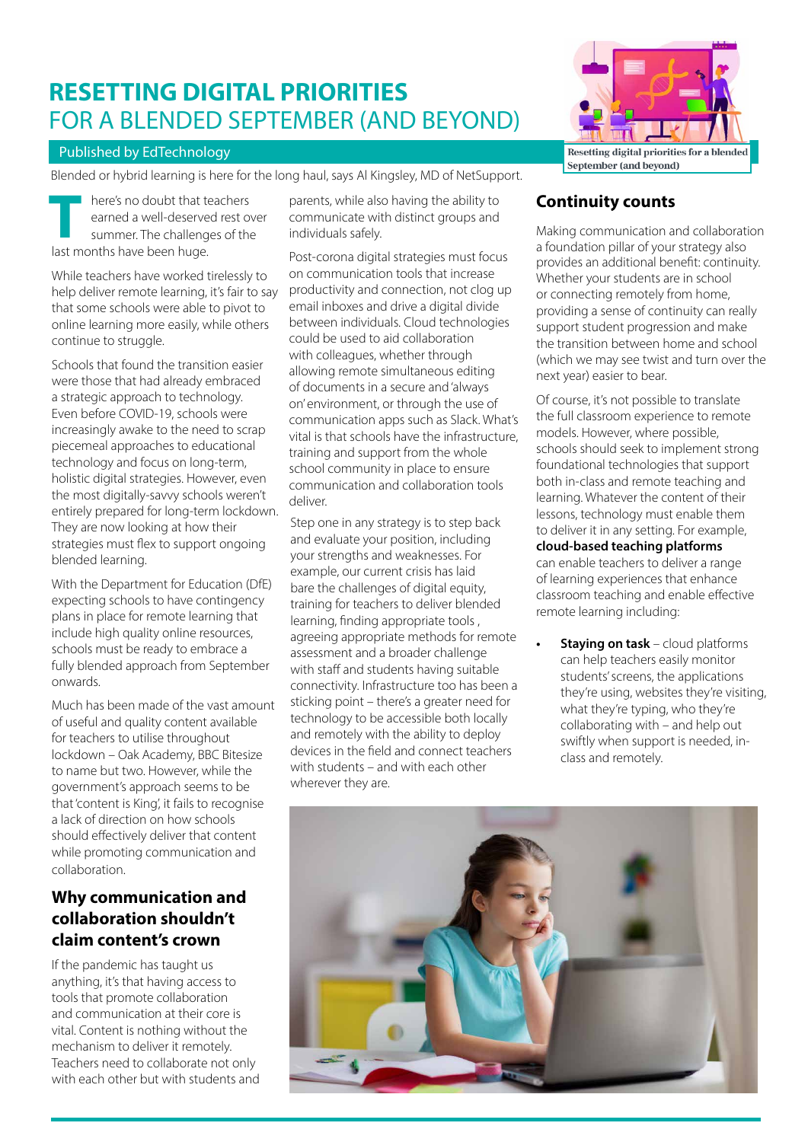# **RESETTING DIGITAL PRIORITIES**  FOR A BLENDED SEPTEMBER (AND BEYOND)

#### Published by EdTechnology

Blended or hybrid learning is here for the long haul, says Al Kingsley, MD of NetSupport.

here's no doubt that teachers earned a well-deserved rest over summer. The challenges of the **THE MANUS CONSUMER MANUS CONSUMING THE CHANGE SURFERENCE SURFERENCE AND HOTEL AND HOTEL AND HOTEL AND HOTEL AND HOTEL AND HOTEL AND HOTEL AND HOTEL AND HOTEL AND HOTEL AND HOTEL AND HOTEL AND HOTEL AND HOTEL AND HOTEL AND** 

While teachers have worked tirelessly to help deliver remote learning, it's fair to say that some schools were able to pivot to online learning more easily, while others continue to struggle.

Schools that found the transition easier were those that had already embraced a strategic approach to technology. Even before COVID-19, schools were increasingly awake to the need to scrap piecemeal approaches to educational technology and focus on long-term, holistic digital strategies. However, even the most digitally-savvy schools weren't entirely prepared for long-term lockdown. They are now looking at how their strategies must flex to support ongoing blended learning.

With the Department for Education (DfE) expecting schools to have contingency plans in place for remote learning that include high quality online resources, schools must be ready to embrace a fully blended approach from September onwards.

Much has been made of the vast amount of useful and quality content available for teachers to utilise throughout lockdown – Oak Academy, BBC Bitesize to name but two. However, while the government's approach seems to be that 'content is King', it fails to recognise a lack of direction on how schools should effectively deliver that content while promoting communication and collaboration.

### **Why communication and collaboration shouldn't claim content's crown**

If the pandemic has taught us anything, it's that having access to tools that promote collaboration and communication at their core is vital. Content is nothing without the mechanism to deliver it remotely. Teachers need to collaborate not only with each other but with students and

parents, while also having the ability to communicate with distinct groups and individuals safely.

Post-corona digital strategies must focus on communication tools that increase productivity and connection, not clog up email inboxes and drive a digital divide between individuals. Cloud technologies could be used to aid collaboration with colleagues, whether through allowing remote simultaneous editing of documents in a secure and 'always on' environment, or through the use of communication apps such as Slack. What's vital is that schools have the infrastructure, training and support from the whole school community in place to ensure communication and collaboration tools deliver.

Step one in any strategy is to step back and evaluate your position, including your strengths and weaknesses. For example, our current crisis has laid bare the challenges of digital equity, training for teachers to deliver blended learning, finding appropriate tools , agreeing appropriate methods for remote assessment and a broader challenge with staff and students having suitable connectivity. Infrastructure too has been a sticking point – there's a greater need for technology to be accessible both locally and remotely with the ability to deploy devices in the field and connect teachers with students – and with each other wherever they are.



## **Continuity counts**

Making communication and collaboration a foundation pillar of your strategy also provides an additional benefit: continuity. Whether your students are in school or connecting remotely from home, providing a sense of continuity can really support student progression and make the transition between home and school (which we may see twist and turn over the next year) easier to bear.

Of course, it's not possible to translate the full classroom experience to remote models. However, where possible, schools should seek to implement strong foundational technologies that support both in-class and remote teaching and learning. Whatever the content of their lessons, technology must enable them to deliver it in any setting. For example, **[cloud-based teaching platforms](http://classroom.cloud/)**

can enable teachers to deliver a range of learning experiences that enhance classroom teaching and enable effective remote learning including:

**• Staying on task** – cloud platforms can help teachers easily monitor students' screens, the applications they're using, websites they're visiting, what they're typing, who they're collaborating with – and help out swiftly when support is needed, inclass and remotely.